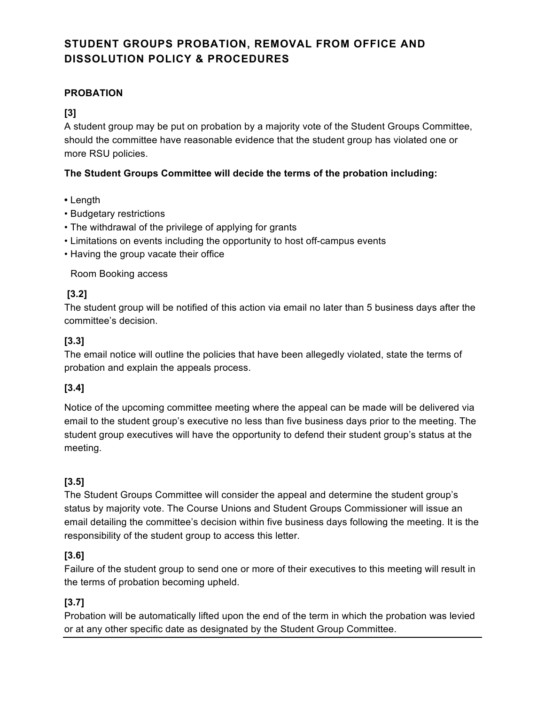# **STUDENT GROUPS PROBATION, REMOVAL FROM OFFICE AND DISSOLUTION POLICY & PROCEDURES**

# **PROBATION**

## **[3]**

A student group may be put on probation by a majority vote of the Student Groups Committee, should the committee have reasonable evidence that the student group has violated one or more RSU policies.

## **The Student Groups Committee will decide the terms of the probation including:**

- Length
- Budgetary restrictions
- The withdrawal of the privilege of applying for grants
- Limitations on events including the opportunity to host off-campus events
- Having the group vacate their office

Room Booking access

# **[3.2]**

The student group will be notified of this action via email no later than 5 business days after the committee's decision.

# **[3.3]**

The email notice will outline the policies that have been allegedly violated, state the terms of probation and explain the appeals process.

# **[3.4]**

Notice of the upcoming committee meeting where the appeal can be made will be delivered via email to the student group's executive no less than five business days prior to the meeting. The student group executives will have the opportunity to defend their student group's status at the meeting.

# **[3.5]**

The Student Groups Committee will consider the appeal and determine the student group's status by majority vote. The Course Unions and Student Groups Commissioner will issue an email detailing the committee's decision within five business days following the meeting. It is the responsibility of the student group to access this letter.

# **[3.6]**

Failure of the student group to send one or more of their executives to this meeting will result in the terms of probation becoming upheld.

# **[3.7]**

Probation will be automatically lifted upon the end of the term in which the probation was levied or at any other specific date as designated by the Student Group Committee.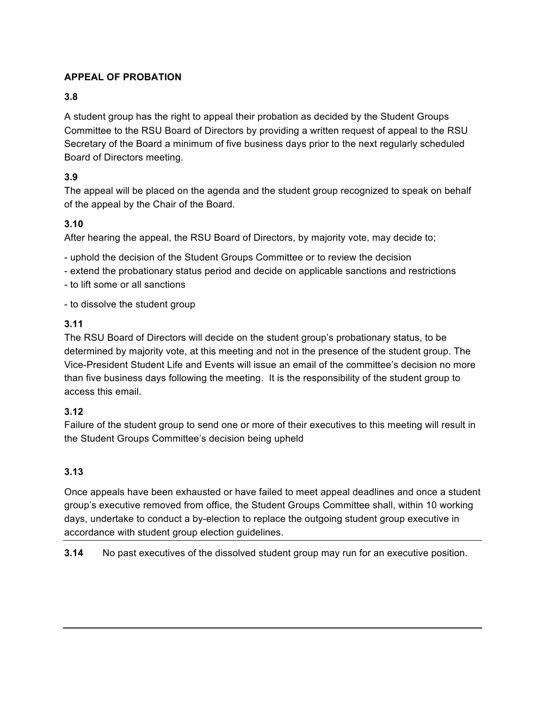# **APPEAL OF PROBATION**

#### **3.8**

A student group has the right to appeal their probation as decided by the Student Groups Committee to the RSU Board of Directors by providing a written request of appeal to the RSU Secretary of the Board a minimum of five business days prior to the next regularly scheduled Board of Directors meeting.

## **3.9**

The appeal will be placed on the agenda and the student group recognized to speak on behalf of the appeal by the Chair of the Board.

## **3.10**

After hearing the appeal, the RSU Board of Directors, by majority vote, may decide to;

- uphold the decision of the Student Groups Committee or to review the decision
- extend the probationary status period and decide on applicable sanctions and restrictions
- to lift some or all sanctions
- to dissolve the student group

### **3.11**

The RSU Board of Directors will decide on the student group's probationary status, to be determined by majority vote, at this meeting and not in the presence of the student group. The Vice-President Student Life and Events will issue an email of the committee's decision no more than five business days following the meeting. It is the responsibility of the student group to access this email.

### **3.12**

Failure of the student group to send one or more of their executives to this meeting will result in the Student Groups Committee's decision being upheld

# **3.13**

Once appeals have been exhausted or have failed to meet appeal deadlines and once a student group's executive removed from office, the Student Groups Committee shall, within 10 working days, undertake to conduct a by-election to replace the outgoing student group executive in accordance with student group election guidelines.

**3.14** No past executives of the dissolved student group may run for an executive position.